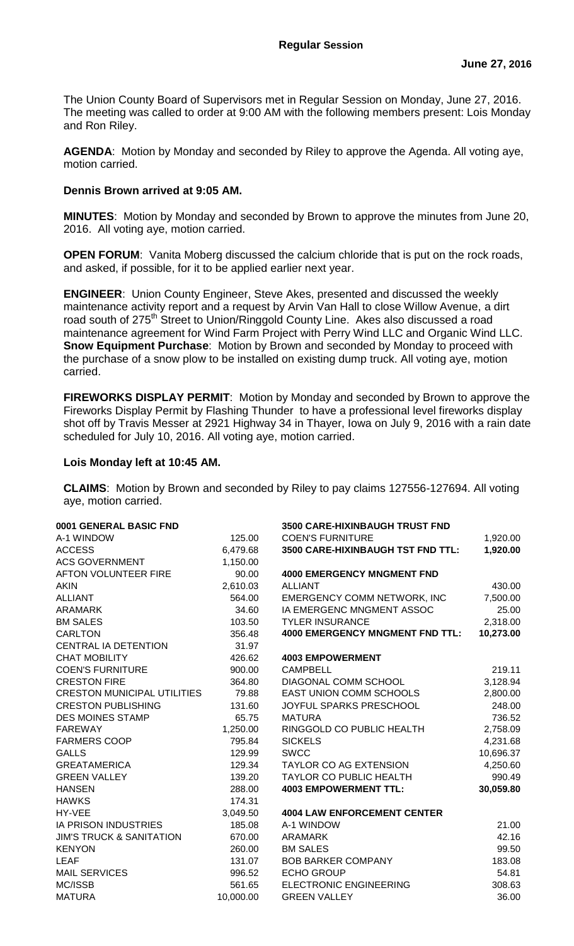The Union County Board of Supervisors met in Regular Session on Monday, June 27, 2016. The meeting was called to order at 9:00 AM with the following members present: Lois Monday and Ron Riley.

**AGENDA**: Motion by Monday and seconded by Riley to approve the Agenda. All voting aye, motion carried.

## **Dennis Brown arrived at 9:05 AM.**

**MINUTES**: Motion by Monday and seconded by Brown to approve the minutes from June 20, 2016. All voting aye, motion carried.

**OPEN FORUM:** Vanita Moberg discussed the calcium chloride that is put on the rock roads, and asked, if possible, for it to be applied earlier next year.

**ENGINEER**: Union County Engineer, Steve Akes, presented and discussed the weekly maintenance activity report and a request by Arvin Van Hall to close Willow Avenue, a dirt road south of 275<sup>th</sup> Street to Union/Ringgold County Line. Akes also discussed a road maintenance agreement for Wind Farm Project with Perry Wind LLC and Organic Wind LLC. **Snow Equipment Purchase**: Motion by Brown and seconded by Monday to proceed with the purchase of a snow plow to be installed on existing dump truck. All voting aye, motion carried.

**FIREWORKS DISPLAY PERMIT**: Motion by Monday and seconded by Brown to approve the Fireworks Display Permit by Flashing Thunder to have a professional level fireworks display shot off by Travis Messer at 2921 Highway 34 in Thayer, Iowa on July 9, 2016 with a rain date scheduled for July 10, 2016. All voting aye, motion carried.

## **Lois Monday left at 10:45 AM.**

**CLAIMS**: Motion by Brown and seconded by Riley to pay claims 127556-127694. All voting aye, motion carried.

| 0001 GENERAL BASIC FND              |           | 3500 CARE-HIXINBAUGH TRUST FND         |           |
|-------------------------------------|-----------|----------------------------------------|-----------|
| A-1 WINDOW                          | 125.00    | <b>COEN'S FURNITURE</b>                | 1,920.00  |
| <b>ACCESS</b>                       | 6,479.68  | 3500 CARE-HIXINBAUGH TST FND TTL:      | 1,920.00  |
| <b>ACS GOVERNMENT</b>               | 1,150.00  |                                        |           |
| AFTON VOLUNTEER FIRE                | 90.00     | <b>4000 EMERGENCY MNGMENT FND</b>      |           |
| <b>AKIN</b>                         | 2,610.03  | <b>ALLIANT</b>                         | 430.00    |
| <b>ALLIANT</b>                      | 564.00    | <b>EMERGENCY COMM NETWORK, INC</b>     | 7,500.00  |
| <b>ARAMARK</b>                      | 34.60     | IA EMERGENC MNGMENT ASSOC              | 25.00     |
| <b>BM SALES</b>                     | 103.50    | <b>TYLER INSURANCE</b>                 | 2,318.00  |
| <b>CARLTON</b>                      | 356.48    | <b>4000 EMERGENCY MNGMENT FND TTL:</b> | 10,273.00 |
| <b>CENTRAL IA DETENTION</b>         | 31.97     |                                        |           |
| <b>CHAT MOBILITY</b>                | 426.62    | <b>4003 EMPOWERMENT</b>                |           |
| <b>COEN'S FURNITURE</b>             | 900.00    | <b>CAMPBELL</b>                        | 219.11    |
| <b>CRESTON FIRE</b>                 | 364.80    | DIAGONAL COMM SCHOOL                   | 3,128.94  |
| <b>CRESTON MUNICIPAL UTILITIES</b>  | 79.88     | <b>EAST UNION COMM SCHOOLS</b>         | 2,800.00  |
| <b>CRESTON PUBLISHING</b>           | 131.60    | JOYFUL SPARKS PRESCHOOL                | 248.00    |
| <b>DES MOINES STAMP</b>             | 65.75     | <b>MATURA</b>                          | 736.52    |
| <b>FAREWAY</b>                      | 1,250.00  | RINGGOLD CO PUBLIC HEALTH              | 2,758.09  |
| <b>FARMERS COOP</b>                 | 795.84    | <b>SICKELS</b>                         | 4,231.68  |
| <b>GALLS</b>                        | 129.99    | <b>SWCC</b>                            | 10,696.37 |
| <b>GREATAMERICA</b>                 | 129.34    | <b>TAYLOR CO AG EXTENSION</b>          | 4,250.60  |
| <b>GREEN VALLEY</b>                 | 139.20    | <b>TAYLOR CO PUBLIC HEALTH</b>         | 990.49    |
| <b>HANSEN</b>                       | 288.00    | <b>4003 EMPOWERMENT TTL:</b>           | 30,059.80 |
| <b>HAWKS</b>                        | 174.31    |                                        |           |
| HY-VEE                              | 3,049.50  | <b>4004 LAW ENFORCEMENT CENTER</b>     |           |
| <b>IA PRISON INDUSTRIES</b>         | 185.08    | A-1 WINDOW                             | 21.00     |
| <b>JIM'S TRUCK &amp; SANITATION</b> | 670.00    | <b>ARAMARK</b>                         | 42.16     |
| <b>KENYON</b>                       | 260.00    | <b>BM SALES</b>                        | 99.50     |
| <b>LEAF</b>                         | 131.07    | <b>BOB BARKER COMPANY</b>              | 183.08    |
| <b>MAIL SERVICES</b>                | 996.52    | <b>ECHO GROUP</b>                      | 54.81     |
| MC/ISSB                             | 561.65    | <b>ELECTRONIC ENGINEERING</b>          | 308.63    |
| <b>MATURA</b>                       | 10,000.00 | <b>GREEN VALLEY</b>                    | 36.00     |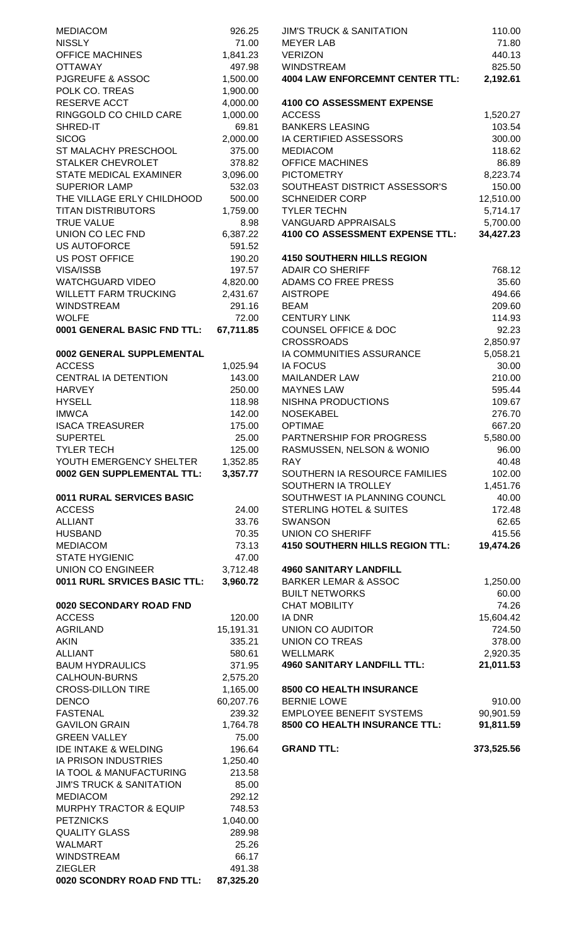| <b>MEDIACOM</b>                     | 926.25    | <b>JIM'S TRUCK &amp; SANITATION</b>    | 110.00     |
|-------------------------------------|-----------|----------------------------------------|------------|
| <b>NISSLY</b>                       | 71.00     | <b>MEYER LAB</b>                       | 71.80      |
| <b>OFFICE MACHINES</b>              | 1,841.23  | <b>VERIZON</b>                         | 440.13     |
| <b>OTTAWAY</b>                      | 497.98    | <b>WINDSTREAM</b>                      | 825.50     |
| <b>PJGREUFE &amp; ASSOC</b>         | 1,500.00  | <b>4004 LAW ENFORCEMNT CENTER TTL:</b> | 2,192.61   |
| POLK CO. TREAS                      | 1,900.00  |                                        |            |
| RESERVE ACCT                        | 4,000.00  | <b>4100 CO ASSESSMENT EXPENSE</b>      |            |
| RINGGOLD CO CHILD CARE              | 1,000.00  | <b>ACCESS</b>                          | 1,520.27   |
| SHRED-IT                            | 69.81     | <b>BANKERS LEASING</b>                 | 103.54     |
| <b>SICOG</b>                        | 2,000.00  | IA CERTIFIED ASSESSORS                 | 300.00     |
| ST MALACHY PRESCHOOL                | 375.00    | <b>MEDIACOM</b>                        | 118.62     |
| STALKER CHEVROLET                   | 378.82    | <b>OFFICE MACHINES</b>                 | 86.89      |
| STATE MEDICAL EXAMINER              | 3,096.00  | <b>PICTOMETRY</b>                      | 8,223.74   |
| <b>SUPERIOR LAMP</b>                | 532.03    | SOUTHEAST DISTRICT ASSESSOR'S          | 150.00     |
| THE VILLAGE ERLY CHILDHOOD          | 500.00    | <b>SCHNEIDER CORP</b>                  | 12,510.00  |
| <b>TITAN DISTRIBUTORS</b>           | 1,759.00  | <b>TYLER TECHN</b>                     | 5,714.17   |
| <b>TRUE VALUE</b>                   | 8.98      | VANGUARD APPRAISALS                    | 5,700.00   |
| UNION CO LEC FND                    | 6,387.22  | 4100 CO ASSESSMENT EXPENSE TTL:        | 34,427.23  |
| <b>US AUTOFORCE</b>                 | 591.52    |                                        |            |
| <b>US POST OFFICE</b>               | 190.20    | <b>4150 SOUTHERN HILLS REGION</b>      |            |
| VISA/ISSB                           | 197.57    | <b>ADAIR CO SHERIFF</b>                | 768.12     |
| <b>WATCHGUARD VIDEO</b>             | 4,820.00  | ADAMS CO FREE PRESS                    | 35.60      |
|                                     |           |                                        |            |
| <b>WILLETT FARM TRUCKING</b>        | 2,431.67  | <b>AISTROPE</b>                        | 494.66     |
| <b>WINDSTREAM</b>                   | 291.16    | <b>BEAM</b>                            | 209.60     |
| <b>WOLFE</b>                        | 72.00     | <b>CENTURY LINK</b>                    | 114.93     |
| 0001 GENERAL BASIC FND TTL:         | 67,711.85 | <b>COUNSEL OFFICE &amp; DOC</b>        | 92.23      |
|                                     |           | <b>CROSSROADS</b>                      | 2,850.97   |
| 0002 GENERAL SUPPLEMENTAL           |           | IA COMMUNITIES ASSURANCE               | 5,058.21   |
| <b>ACCESS</b>                       | 1,025.94  | <b>IA FOCUS</b>                        | 30.00      |
| CENTRAL IA DETENTION                | 143.00    | <b>MAILANDER LAW</b>                   | 210.00     |
| <b>HARVEY</b>                       | 250.00    | <b>MAYNES LAW</b>                      | 595.44     |
| <b>HYSELL</b>                       | 118.98    | NISHNA PRODUCTIONS                     | 109.67     |
| <b>IMWCA</b>                        | 142.00    | <b>NOSEKABEL</b>                       | 276.70     |
| <b>ISACA TREASURER</b>              | 175.00    | <b>OPTIMAE</b>                         | 667.20     |
| <b>SUPERTEL</b>                     | 25.00     | PARTNERSHIP FOR PROGRESS               | 5,580.00   |
| <b>TYLER TECH</b>                   | 125.00    | RASMUSSEN, NELSON & WONIO              | 96.00      |
| YOUTH EMERGENCY SHELTER             | 1,352.85  | <b>RAY</b>                             | 40.48      |
| 0002 GEN SUPPLEMENTAL TTL:          | 3,357.77  | SOUTHERN IA RESOURCE FAMILIES          | 102.00     |
|                                     |           | SOUTHERN IA TROLLEY                    | 1,451.76   |
| 0011 RURAL SERVICES BASIC           |           | SOUTHWEST IA PLANNING COUNCL           | 40.00      |
| <b>ACCESS</b>                       | 24.00     | <b>STERLING HOTEL &amp; SUITES</b>     | 172.48     |
| <b>ALLIANT</b>                      | 33.76     | <b>SWANSON</b>                         | 62.65      |
| <b>HUSBAND</b>                      | 70.35     | <b>UNION CO SHERIFF</b>                | 415.56     |
| <b>MEDIACOM</b>                     | 73.13     | <b>4150 SOUTHERN HILLS REGION TTL:</b> | 19,474.26  |
| <b>STATE HYGIENIC</b>               | 47.00     |                                        |            |
| UNION CO ENGINEER                   | 3,712.48  | <b>4960 SANITARY LANDFILL</b>          |            |
| 0011 RURL SRVICES BASIC TTL:        | 3,960.72  | <b>BARKER LEMAR &amp; ASSOC</b>        | 1,250.00   |
|                                     |           | <b>BUILT NETWORKS</b>                  | 60.00      |
| 0020 SECONDARY ROAD FND             |           | <b>CHAT MOBILITY</b>                   | 74.26      |
| <b>ACCESS</b>                       |           |                                        |            |
|                                     | 120.00    | <b>IA DNR</b>                          | 15,604.42  |
| <b>AGRILAND</b>                     | 15,191.31 | <b>UNION CO AUDITOR</b>                | 724.50     |
| <b>AKIN</b>                         | 335.21    | <b>UNION CO TREAS</b>                  | 378.00     |
| <b>ALLIANT</b>                      | 580.61    | <b>WELLMARK</b>                        | 2,920.35   |
| <b>BAUM HYDRAULICS</b>              | 371.95    | <b>4960 SANITARY LANDFILL TTL:</b>     | 21,011.53  |
| CALHOUN-BURNS                       | 2,575.20  |                                        |            |
| <b>CROSS-DILLON TIRE</b>            | 1,165.00  | 8500 CO HEALTH INSURANCE               |            |
| <b>DENCO</b>                        | 60,207.76 | <b>BERNIE LOWE</b>                     | 910.00     |
| <b>FASTENAL</b>                     | 239.32    | <b>EMPLOYEE BENEFIT SYSTEMS</b>        | 90,901.59  |
| <b>GAVILON GRAIN</b>                | 1,764.78  | 8500 CO HEALTH INSURANCE TTL:          | 91,811.59  |
| <b>GREEN VALLEY</b>                 | 75.00     |                                        |            |
| <b>IDE INTAKE &amp; WELDING</b>     | 196.64    | <b>GRAND TTL:</b>                      | 373,525.56 |
| <b>IA PRISON INDUSTRIES</b>         | 1,250.40  |                                        |            |
| IA TOOL & MANUFACTURING             | 213.58    |                                        |            |
| <b>JIM'S TRUCK &amp; SANITATION</b> | 85.00     |                                        |            |
| <b>MEDIACOM</b>                     | 292.12    |                                        |            |
| MURPHY TRACTOR & EQUIP              | 748.53    |                                        |            |
| <b>PETZNICKS</b>                    | 1,040.00  |                                        |            |
| <b>QUALITY GLASS</b>                | 289.98    |                                        |            |
| <b>WALMART</b>                      | 25.26     |                                        |            |
| <b>WINDSTREAM</b>                   | 66.17     |                                        |            |
| <b>ZIEGLER</b>                      | 491.38    |                                        |            |
| 0020 SCONDRY ROAD FND TTL:          | 87,325.20 |                                        |            |